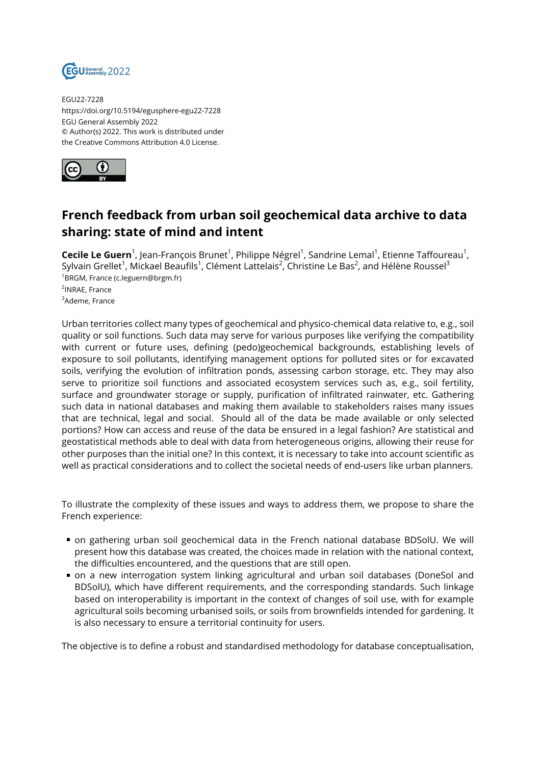

EGU22-7228 https://doi.org/10.5194/egusphere-egu22-7228 EGU General Assembly 2022 © Author(s) 2022. This work is distributed under the Creative Commons Attribution 4.0 License.



## **French feedback from urban soil geochemical data archive to data sharing: state of mind and intent**

**Cecile Le Guern**<sup>1</sup>, Jean-François Brunet<sup>1</sup>, Philippe Négrel<sup>1</sup>, Sandrine Lemal<sup>1</sup>, Etienne Taffoureau<sup>1</sup>, Sylvain Grellet<sup>1</sup>, Mickael Beaufils<sup>1</sup>, Clément Lattelais<sup>2</sup>, Christine Le Bas<sup>2</sup>, and Hélène Roussel<sup>3</sup> <sup>1</sup>BRGM, France (c.leguern@brgm.fr) <sup>2</sup>INRAE, France <sup>3</sup>Ademe, France

Urban territories collect many types of geochemical and physico-chemical data relative to, e.g., soil quality or soil functions. Such data may serve for various purposes like verifying the compatibility with current or future uses, defining (pedo)geochemical backgrounds, establishing levels of exposure to soil pollutants, identifying management options for polluted sites or for excavated soils, verifying the evolution of infiltration ponds, assessing carbon storage, etc. They may also serve to prioritize soil functions and associated ecosystem services such as, e.g., soil fertility, surface and groundwater storage or supply, purification of infiltrated rainwater, etc. Gathering such data in national databases and making them available to stakeholders raises many issues that are technical, legal and social. Should all of the data be made available or only selected portions? How can access and reuse of the data be ensured in a legal fashion? Are statistical and geostatistical methods able to deal with data from heterogeneous origins, allowing their reuse for other purposes than the initial one? In this context, it is necessary to take into account scientific as well as practical considerations and to collect the societal needs of end-users like urban planners.

To illustrate the complexity of these issues and ways to address them, we propose to share the French experience:

- on gathering urban soil geochemical data in the French national database BDSolU. We will present how this database was created, the choices made in relation with the national context, the difficulties encountered, and the questions that are still open.
- on a new interrogation system linking agricultural and urban soil databases (DoneSol and BDSolU), which have different requirements, and the corresponding standards. Such linkage based on interoperability is important in the context of changes of soil use, with for example agricultural soils becoming urbanised soils, or soils from brownfields intended for gardening. It is also necessary to ensure a territorial continuity for users.

The objective is to define a robust and standardised methodology for database conceptualisation,